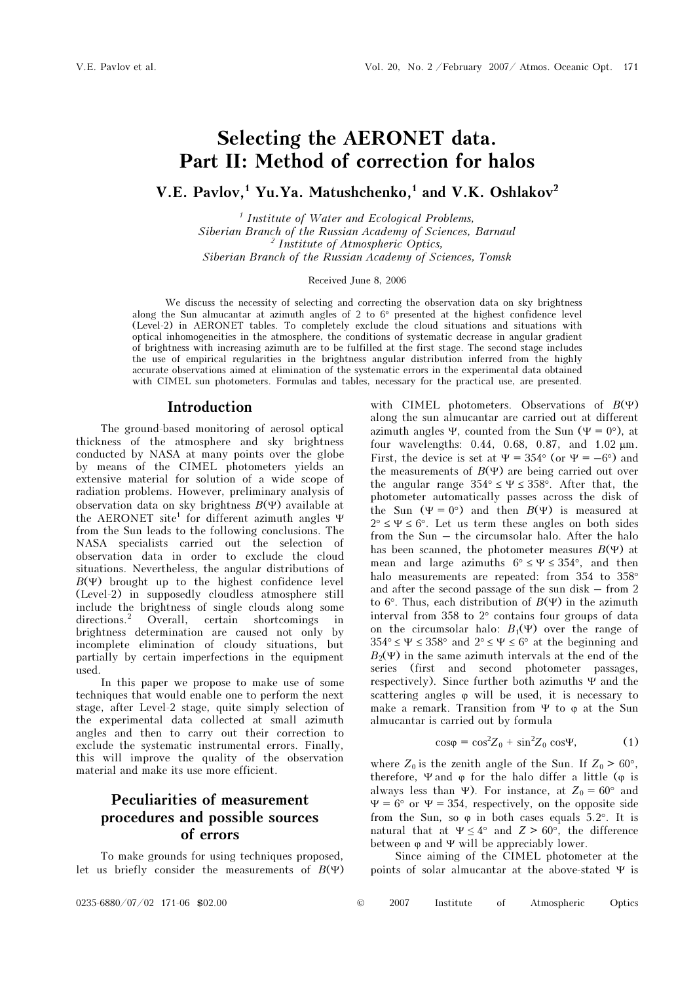# Selecting the AERONET data. Part II: Method of correction for halos

V.E. Pavlov,<sup>1</sup> Yu.Ya. Matushchenko,<sup>1</sup> and V.K. Oshlakov<sup>2</sup>

<sup>1</sup> Institute of Water and Ecological Problems, Siberian Branch of the Russian Academy of Sciences, Barnaul <sup>2</sup> Institute of Atmospheric Optics, Siberian Branch of the Russian Academy of Sciences, Tomsk

Received June 8, 2006

We discuss the necessity of selecting and correcting the observation data on sky brightness along the Sun almucantar at azimuth angles of 2 to 6° presented at the highest confidence level (Level-2) in AERONET tables. To completely exclude the cloud situations and situations with optical inhomogeneities in the atmosphere, the conditions of systematic decrease in angular gradient of brightness with increasing azimuth are to be fulfilled at the first stage. The second stage includes the use of empirical regularities in the brightness angular distribution inferred from the highly accurate observations aimed at elimination of the systematic errors in the experimental data obtained with CIMEL sun photometers. Formulas and tables, necessary for the practical use, are presented.

#### Introduction

The ground-based monitoring of aerosol optical thickness of the atmosphere and sky brightness conducted by NASA at many points over the globe by means of the CIMEL photometers yields an extensive material for solution of a wide scope of radiation problems. However, preliminary analysis of observation data on sky brightness  $B(\Psi)$  available at the AERONET site<sup>1</sup> for different azimuth angles Ψ from the Sun leads to the following conclusions. The NASA specialists carried out the selection of observation data in order to exclude the cloud situations. Nevertheless, the angular distributions of  $B(\Psi)$  brought up to the highest confidence level (Level-2) in supposedly cloudless atmosphere still include the brightness of single clouds along some directions.<sup>2</sup> Overall, certain shortcomings in directions.<sup>2</sup> certain shortcomings in brightness determination are caused not only by incomplete elimination of cloudy situations, but partially by certain imperfections in the equipment used.

In this paper we propose to make use of some techniques that would enable one to perform the next stage, after Level-2 stage, quite simply selection of the experimental data collected at small azimuth angles and then to carry out their correction to exclude the systematic instrumental errors. Finally, this will improve the quality of the observation material and make its use more efficient.

# Peculiarities of measurement procedures and possible sources of errors

To make grounds for using techniques proposed, let us briefly consider the measurements of  $B(\Psi)$  with CIMEL photometers. Observations of  $B(\Psi)$ along the sun almucantar are carried out at different azimuth angles Ψ, counted from the Sun (Ψ = 0°), at four wavelengths: 0.44, 0.68, 0.87, and 1.02 μm. First, the device is set at  $\Psi = 354^{\circ}$  (or  $\Psi = -6^{\circ}$ ) and the measurements of  $B(\Psi)$  are being carried out over the angular range  $354^{\circ} \leq \Psi \leq 358^{\circ}$ . After that, the photometer automatically passes across the disk of the Sun  $(\Psi = 0^{\circ})$  and then  $B(\Psi)$  is measured at  $2^{\circ} \leq \Psi \leq 6^{\circ}$ . Let us term these angles on both sides from the Sun – the circumsolar halo. After the halo has been scanned, the photometer measures  $B(\Psi)$  at mean and large azimuths  $6^{\circ} \le \Psi \le 354^{\circ}$ , and then halo measurements are repeated: from 354 to 358° and after the second passage of the sun disk – from 2 to 6°. Thus, each distribution of  $B(\Psi)$  in the azimuth interval from 358 to 2° contains four groups of data on the circumsolar halo:  $B_1(\Psi)$  over the range of  $354^{\circ} \le \Psi \le 358^{\circ}$  and  $2^{\circ} \le \Psi \le 6^{\circ}$  at the beginning and  $B_2(\Psi)$  in the same azimuth intervals at the end of the series (first and second photometer passages, respectively). Since further both azimuths Ψ and the scattering angles  $\varphi$  will be used, it is necessary to make a remark. Transition from  $\Psi$  to  $\varphi$  at the Sun almucantar is carried out by formula

$$
\cos\varphi = \cos^2 Z_0 + \sin^2 Z_0 \cos\Psi,\tag{1}
$$

where  $Z_0$  is the zenith angle of the Sun. If  $Z_0 > 60^\circ$ , therefore,  $\Psi$  and  $\varphi$  for the halo differ a little ( $\varphi$  is always less than Ψ). For instance, at  $Z_0 = 60^\circ$  and  $\Psi = 6^{\circ}$  or  $\Psi = 354$ , respectively, on the opposite side from the Sun, so  $\varphi$  in both cases equals 5.2°. It is natural that at  $\Psi \leq 4^{\circ}$  and  $Z > 60^{\circ}$ , the difference between  $\varphi$  and  $\Psi$  will be appreciably lower.

Since aiming of the CIMEL photometer at the points of solar almucantar at the above-stated Ψ is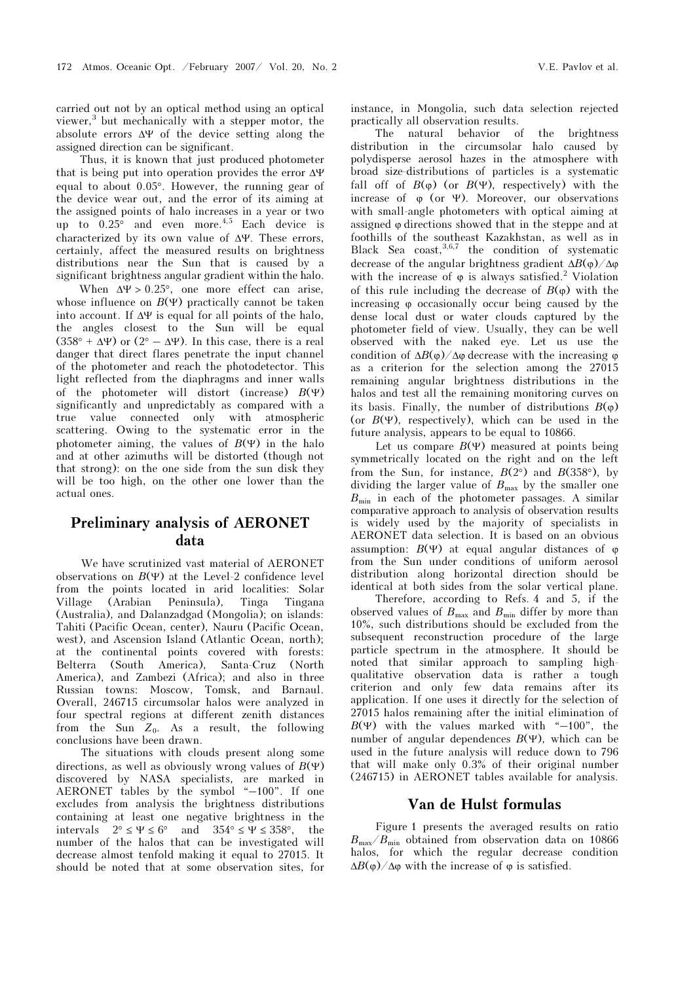carried out not by an optical method using an optical viewer,<sup>3</sup> but mechanically with a stepper motor, the absolute errors ΔΨ of the device setting along the assigned direction can be significant.

Thus, it is known that just produced photometer that is being put into operation provides the error ΔΨ equal to about 0.05°. However, the running gear of the device wear out, and the error of its aiming at the assigned points of halo increases in a year or two up to  $0.25^{\circ}$  and even more.<sup>4,5</sup> Each device is characterized by its own value of ΔΨ. These errors, certainly, affect the measured results on brightness distributions near the Sun that is caused by a significant brightness angular gradient within the halo.

When  $\Delta \Psi > 0.25^{\circ}$ , one more effect can arise, whose influence on  $B(\Psi)$  practically cannot be taken into account. If  $\Delta \Psi$  is equal for all points of the halo, the angles closest to the Sun will be equal  $(358^{\circ} + \Delta\Psi)$  or  $(2^{\circ} - \Delta\Psi)$ . In this case, there is a real danger that direct flares penetrate the input channel of the photometer and reach the photodetector. This light reflected from the diaphragms and inner walls of the photometer will distort (increase)  $B(\Psi)$ significantly and unpredictably as compared with a true value connected only with atmospheric scattering. Owing to the systematic error in the photometer aiming, the values of  $B(\Psi)$  in the halo and at other azimuths will be distorted (though not that strong): on the one side from the sun disk they will be too high, on the other one lower than the actual ones.

## Preliminary analysis of AERONET data

We have scrutinized vast material of AERONET observations on  $B(\Psi)$  at the Level-2 confidence level from the points located in arid localities: Solar Village (Arabian Peninsula), Tinga Tingana (Australia), and Dalanzadgad (Mongolia); on islands: Tahiti (Pacific Ocean, center), Nauru (Pacific Ocean, west), and Ascension Island (Atlantic Ocean, north); at the continental points covered with forests: Belterra (South America), Santa-Cruz (North America), and Zambezi (Africa); and also in three Russian towns: Moscow, Tomsk, and Barnaul. Overall, 246715 circumsolar halos were analyzed in four spectral regions at different zenith distances from the Sun  $Z_0$ . As a result, the following conclusions have been drawn.

The situations with clouds present along some directions, as well as obviously wrong values of  $B(\Psi)$ discovered by NASA specialists, are marked in AERONET tables by the symbol "–100". If one excludes from analysis the brightness distributions containing at least one negative brightness in the intervals  $2^{\circ} \le \Psi \le 6^{\circ}$  and  $354^{\circ} \le \Psi \le 358^{\circ}$ , the number of the halos that can be investigated will decrease almost tenfold making it equal to 27015. It should be noted that at some observation sites, for

instance, in Mongolia, such data selection rejected practically all observation results.

The natural behavior of the brightness distribution in the circumsolar halo caused by polydisperse aerosol hazes in the atmosphere with broad size-distributions of particles is a systematic fall off of  $B(\varphi)$  (or  $B(\Psi)$ , respectively) with the increase of  $\varphi$  (or Ψ). Moreover, our observations with small-angle photometers with optical aiming at assigned ϕ directions showed that in the steppe and at foothills of the southeast Kazakhstan, as well as in Black Sea coast,  $3,6,7$  the condition of systematic decrease of the angular brightness gradient  $\Delta B(\phi)/\Delta \phi$ with the increase of  $\varphi$  is always satisfied.<sup>2</sup> Violation of this rule including the decrease of  $B(\varphi)$  with the increasing ϕ occasionally occur being caused by the dense local dust or water clouds captured by the photometer field of view. Usually, they can be well observed with the naked eye. Let us use the condition of  $\Delta B(\phi)/\Delta\phi$  decrease with the increasing  $\phi$ as a criterion for the selection among the 27015 remaining angular brightness distributions in the halos and test all the remaining monitoring curves on its basis. Finally, the number of distributions  $B(\varphi)$ (or  $B(\Psi)$ , respectively), which can be used in the future analysis, appears to be equal to 10866.

Let us compare  $B(\Psi)$  measured at points being symmetrically located on the right and on the left from the Sun, for instance,  $B(2^{\circ})$  and  $B(358^{\circ})$ , by dividing the larger value of  $B_{\text{max}}$  by the smaller one  $B_{\text{min}}$  in each of the photometer passages. A similar comparative approach to analysis of observation results is widely used by the majority of specialists in AERONET data selection. It is based on an obvious assumption:  $B(\Psi)$  at equal angular distances of  $\varphi$ from the Sun under conditions of uniform aerosol distribution along horizontal direction should be identical at both sides from the solar vertical plane.

 Therefore, according to Refs. 4 and 5, if the observed values of  $B_{\text{max}}$  and  $B_{\text{min}}$  differ by more than 10%, such distributions should be excluded from the subsequent reconstruction procedure of the large particle spectrum in the atmosphere. It should be noted that similar approach to sampling highqualitative observation data is rather a tough criterion and only few data remains after its application. If one uses it directly for the selection of 27015 halos remaining after the initial elimination of  $B(\Psi)$  with the values marked with "-100", the number of angular dependences  $B(\Psi)$ , which can be used in the future analysis will reduce down to 796 that will make only 0.3% of their original number (246715) in AERONET tables available for analysis.

#### Van de Hulst formulas

Figure 1 presents the averaged results on ratio  $B_{\text{max}}/B_{\text{min}}$  obtained from observation data on 10866 halos, for which the regular decrease condition  $\Delta B(\varphi)/\Delta\varphi$  with the increase of  $\varphi$  is satisfied.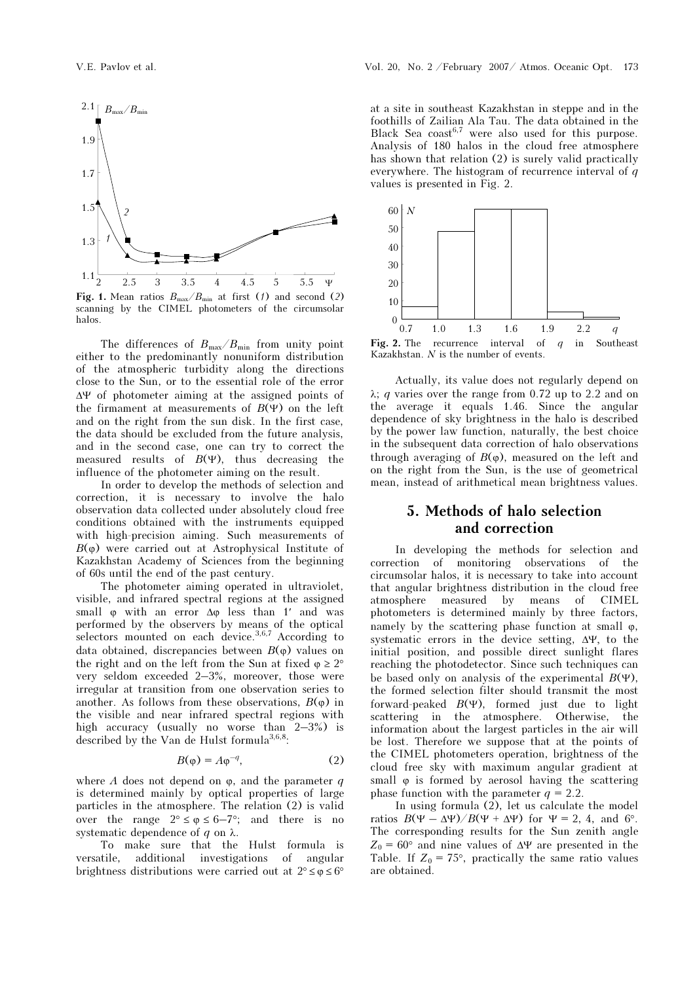

Fig. 1. Mean ratios  $B_{\text{max}}/B_{\text{min}}$  at first (1) and second (2) scanning by the CIMEL photometers of the circumsolar halos.

The differences of  $B_{\text{max}}/B_{\text{min}}$  from unity point either to the predominantly nonuniform distribution of the atmospheric turbidity along the directions close to the Sun, or to the essential role of the error ΔΨ of photometer aiming at the assigned points of the firmament at measurements of  $B(\Psi)$  on the left and on the right from the sun disk. In the first case, the data should be excluded from the future analysis, and in the second case, one can try to correct the measured results of  $B(\Psi)$ , thus decreasing the influence of the photometer aiming on the result.

In order to develop the methods of selection and correction, it is necessary to involve the halo observation data collected under absolutely cloud free conditions obtained with the instruments equipped with high-precision aiming. Such measurements of  $B(\varphi)$  were carried out at Astrophysical Institute of Kazakhstan Academy of Sciences from the beginning of 60s until the end of the past century.

The photometer aiming operated in ultraviolet, visible, and infrared spectral regions at the assigned small  $\varphi$  with an error  $\Delta\varphi$  less than 1' and was performed by the observers by means of the optical selectors mounted on each device.  $3,6,7$  According to data obtained, discrepancies between  $B(\phi)$  values on the right and on the left from the Sun at fixed  $\varphi \geq 2^{\circ}$ very seldom exceeded 2–3%, moreover, those were irregular at transition from one observation series to another. As follows from these observations,  $B(\varphi)$  in the visible and near infrared spectral regions with high accuracy (usually no worse than 2–3%) is described by the Van de Hulst formula<sup>3,6,8</sup>:

$$
B(\varphi) = A\varphi^{-q},\tag{2}
$$

where A does not depend on  $\varphi$ , and the parameter q is determined mainly by optical properties of large particles in the atmosphere. The relation (2) is valid over the range  $2^{\circ} \le \varphi \le 6-7^{\circ}$ ; and there is no systematic dependence of q on  $\lambda$ .

To make sure that the Hulst formula is versatile, additional investigations of angular brightness distributions were carried out at  $2^{\circ} \le \varphi \le 6^{\circ}$ 

at a site in southeast Kazakhstan in steppe and in the foothills of Zailian Ala Tau. The data obtained in the Black Sea coast<sup>6,7</sup> were also used for this purpose. Analysis of 180 halos in the cloud free atmosphere has shown that relation (2) is surely valid practically everywhere. The histogram of recurrence interval of  $q$ values is presented in Fig. 2.



Kazakhstan. N is the number of events.

Actually, its value does not regularly depend on  $λ$ ; *q* varies over the range from 0.72 up to 2.2 and on the average it equals 1.46. Since the angular dependence of sky brightness in the halo is described by the power law function, naturally, the best choice in the subsequent data correction of halo observations through averaging of  $B(\varphi)$ , measured on the left and on the right from the Sun, is the use of geometrical mean, instead of arithmetical mean brightness values.

## 5. Methods of halo selection and correction

In developing the methods for selection and correction of monitoring observations of the circumsolar halos, it is necessary to take into account that angular brightness distribution in the cloud free atmosphere measured by means of CIMEL photometers is determined mainly by three factors, namely by the scattering phase function at small  $\varphi$ , systematic errors in the device setting, ΔΨ, to the initial position, and possible direct sunlight flares reaching the photodetector. Since such techniques can be based only on analysis of the experimental  $B(\Psi)$ , the formed selection filter should transmit the most forward-peaked  $B(\Psi)$ , formed just due to light scattering in the atmosphere. Otherwise, the information about the largest particles in the air will be lost. Therefore we suppose that at the points of the CIMEL photometers operation, brightness of the cloud free sky with maximum angular gradient at small  $\varphi$  is formed by aerosol having the scattering phase function with the parameter  $q = 2.2$ .

In using formula (2), let us calculate the model ratios  $B(\Psi - \Delta \Psi)/B(\Psi + \Delta \Psi)$  for  $\Psi = 2, 4$ , and 6°. The corresponding results for the Sun zenith angle  $Z_0 = 60^{\circ}$  and nine values of  $\Delta \Psi$  are presented in the Table. If  $Z_0 = 75^{\circ}$ , practically the same ratio values are obtained.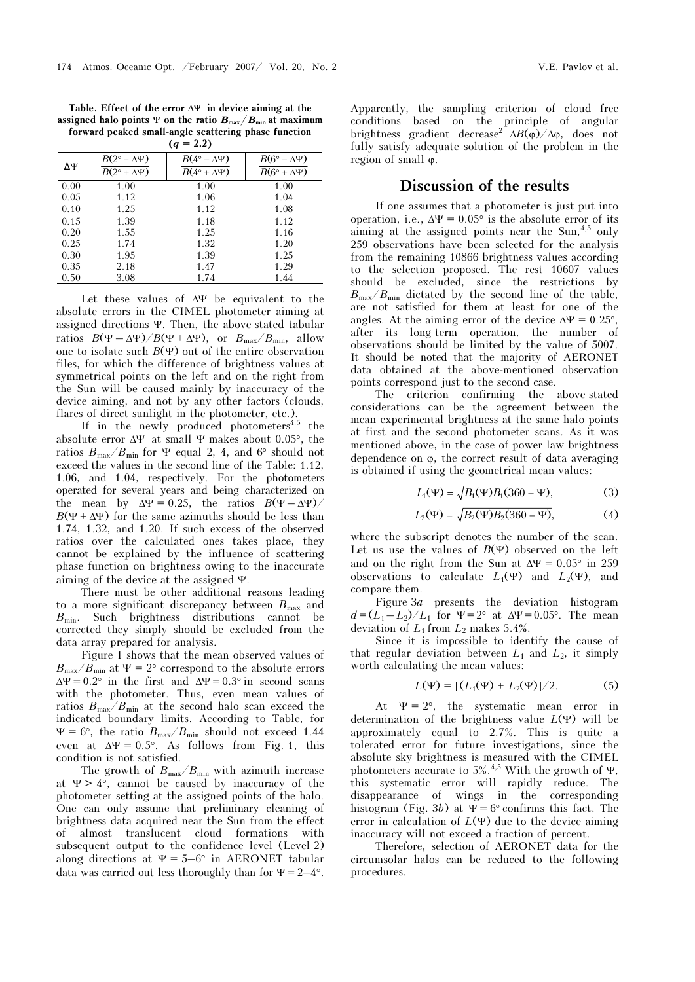Table. Effect of the error  $\Delta \Psi$  in device aiming at the assigned halo points Ψ on the ratio  $B_{\text{max}}/B_{\text{min}}$  at maximum forward peaked small-angle scattering phase function

| $(q = 2.2)$  |                                                              |                                                            |                                                          |
|--------------|--------------------------------------------------------------|------------------------------------------------------------|----------------------------------------------------------|
| $\Delta\Psi$ | $B(2^{\circ} - \Delta \Psi)$<br>$B(2^{\circ} + \Delta \Psi)$ | $B(4^{\circ} - \Delta \Psi)$<br>$B(4^\circ + \Delta \Psi)$ | $B(6^\circ - \Delta \Psi)$<br>$B(6^\circ + \Delta \Psi)$ |
| 0.00         | 1.00                                                         | 1.00                                                       | 1.00                                                     |
| 0.05         | 1.12                                                         | 1.06                                                       | 1.04                                                     |
| 0.10         | 1.25                                                         | 1.12                                                       | 1.08                                                     |
| 0.15         | 1.39                                                         | 1.18                                                       | 1.12                                                     |
| 0.20         | 1.55                                                         | 1.25                                                       | 1.16                                                     |
| 0.25         | 1.74                                                         | 1.32                                                       | 1.20                                                     |
| 0.30         | 1.95                                                         | 1.39                                                       | 1.25                                                     |
| 0.35         | 2.18                                                         | 1.47                                                       | 1.29                                                     |
| 0.50         | 3.08                                                         | 1.74                                                       | 1.44                                                     |

Let these values of ΔΨ be equivalent to the absolute errors in the CIMEL photometer aiming at assigned directions Ψ. Then, the above-stated tabular ratios  $B(\Psi - \Delta \Psi)/B(\Psi + \Delta \Psi)$ , or  $B_{\text{max}}/B_{\text{min}}$ , allow one to isolate such  $B(\Psi)$  out of the entire observation files, for which the difference of brightness values at symmetrical points on the left and on the right from the Sun will be caused mainly by inaccuracy of the device aiming, and not by any other factors (clouds, flares of direct sunlight in the photometer, etc.).

If in the newly produced photometers<sup> $4,5$ </sup> the absolute error  $\Delta \Psi$  at small  $\Psi$  makes about 0.05°, the ratios  $B_{\text{max}}/B_{\text{min}}$  for  $\Psi$  equal 2, 4, and 6° should not exceed the values in the second line of the Table: 1.12, 1.06, and 1.04, respectively. For the photometers operated for several years and being characterized on the mean by  $\Delta \Psi = 0.25$ , the ratios  $B(\Psi - \Delta \Psi)$  $B(\Psi + \Delta \Psi)$  for the same azimuths should be less than 1.74, 1.32, and 1.20. If such excess of the observed ratios over the calculated ones takes place, they cannot be explained by the influence of scattering phase function on brightness owing to the inaccurate aiming of the device at the assigned Ψ.

There must be other additional reasons leading to a more significant discrepancy between  $B_{\text{max}}$  and  $B_{\text{min}}$ . Such brightness distributions cannot be corrected they simply should be excluded from the data array prepared for analysis.

Figure 1 shows that the mean observed values of  $B_{\text{max}}/B_{\text{min}}$  at  $\Psi = 2^{\circ}$  correspond to the absolute errors  $\Delta \Psi = 0.2^{\circ}$  in the first and  $\Delta \Psi = 0.3^{\circ}$  in second scans with the photometer. Thus, even mean values of ratios  $B_{\text{max}}/B_{\text{min}}$  at the second halo scan exceed the indicated boundary limits. According to Table, for  $\Psi = 6^{\circ}$ , the ratio  $B_{\text{max}}/B_{\text{min}}$  should not exceed 1.44 even at  $\Delta \Psi = 0.5^{\circ}$ . As follows from Fig. 1, this condition is not satisfied.

The growth of  $B_{\text{max}}/B_{\text{min}}$  with azimuth increase at  $\Psi > 4^{\circ}$ , cannot be caused by inaccuracy of the photometer setting at the assigned points of the halo. One can only assume that preliminary cleaning of brightness data acquired near the Sun from the effect of almost translucent cloud formations with subsequent output to the confidence level (Level-2) along directions at  $\Psi = 5-6^{\circ}$  in AERONET tabular data was carried out less thoroughly than for  $\Psi = 2-4^{\circ}$ . Apparently, the sampling criterion of cloud free conditions based on the principle of angular brightness gradient decrease<sup>2</sup>  $\Delta B(\phi)/\Delta \phi$ , does not fully satisfy adequate solution of the problem in the region of small ϕ.

## Discussion of the results

If one assumes that a photometer is just put into operation, i.e.,  $\Delta \Psi = 0.05^{\circ}$  is the absolute error of its aiming at the assigned points near the Sun,  $4.5$  only 259 observations have been selected for the analysis from the remaining 10866 brightness values according to the selection proposed. The rest 10607 values should be excluded, since the restrictions by  $B_{\text{max}}/B_{\text{min}}$  dictated by the second line of the table, are not satisfied for them at least for one of the angles. At the aiming error of the device  $\Delta \Psi = 0.25^{\circ}$ , after its long-term operation, the number of observations should be limited by the value of 5007. It should be noted that the majority of AERONET data obtained at the above-mentioned observation points correspond just to the second case.

The criterion confirming the above-stated considerations can be the agreement between the mean experimental brightness at the same halo points at first and the second photometer scans. As it was mentioned above, in the case of power law brightness dependence on ϕ, the correct result of data averaging is obtained if using the geometrical mean values:

$$
L_1(\Psi) = \sqrt{B_1(\Psi)B_1(360 - \Psi)},
$$
 (3)

$$
L_2(\Psi) = \sqrt{B_2(\Psi)B_2(360 - \Psi)},
$$
 (4)

where the subscript denotes the number of the scan. Let us use the values of  $B(\Psi)$  observed on the left and on the right from the Sun at  $\Delta \Psi = 0.05^{\circ}$  in 259 observations to calculate  $L_1(\Psi)$  and  $L_2(\Psi)$ , and compare them.

Figure  $3a$  presents the deviation histogram  $d = (L_1 - L_2)/L_1$  for  $\Psi = 2^{\circ}$  at  $\Delta \Psi = 0.05^{\circ}$ . The mean deviation of  $L_1$  from  $L_2$  makes 5.4%.

Since it is impossible to identify the cause of that regular deviation between  $L_1$  and  $L_2$ , it simply worth calculating the mean values:

$$
L(\Psi) = [(L_1(\Psi) + L_2(\Psi)]/2. \tag{5}
$$

At  $\Psi = 2^{\circ}$ , the systematic mean error in determination of the brightness value  $L(\Psi)$  will be approximately equal to 2.7%. This is quite a tolerated error for future investigations, since the absolute sky brightness is measured with the CIMEL photometers accurate to 5%.<sup>4,5</sup> With the growth of Ψ, this systematic error will rapidly reduce. The disappearance of wings in the corresponding histogram (Fig. 3b) at  $\Psi = 6^{\circ}$  confirms this fact. The error in calculation of  $L(\Psi)$  due to the device aiming inaccuracy will not exceed a fraction of percent.

Therefore, selection of AERONET data for the circumsolar halos can be reduced to the following procedures.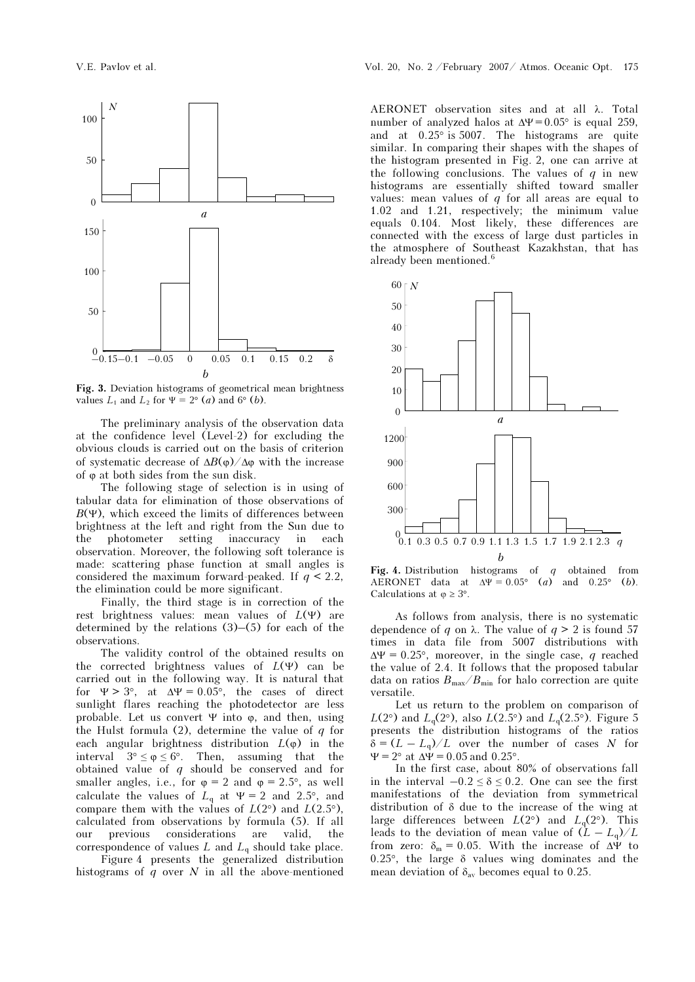

Fig. 3. Deviation histograms of geometrical mean brightness values  $L_1$  and  $L_2$  for  $\Psi = 2^{\circ}$  (*a*) and 6° (*b*).

The preliminary analysis of the observation data at the confidence level (Level-2) for excluding the obvious clouds is carried out on the basis of criterion of systematic decrease of  $ΔB(φ)/Δφ$  with the increase of  $\varphi$  at both sides from the sun disk.

The following stage of selection is in using of tabular data for elimination of those observations of  $B(\Psi)$ , which exceed the limits of differences between brightness at the left and right from the Sun due to the photometer setting inaccuracy in each observation. Moreover, the following soft tolerance is made: scattering phase function at small angles is considered the maximum forward-peaked. If  $q < 2.2$ , the elimination could be more significant.

Finally, the third stage is in correction of the rest brightness values: mean values of  $L(\Psi)$  are determined by the relations (3)–(5) for each of the observations.

The validity control of the obtained results on the corrected brightness values of  $L(\Psi)$  can be carried out in the following way. It is natural that for  $\Psi > 3^{\circ}$ , at  $\Delta \Psi = 0.05^{\circ}$ , the cases of direct sunlight flares reaching the photodetector are less probable. Let us convert  $\Psi$  into  $\varphi$ , and then, using the Hulst formula (2), determine the value of  $q$  for each angular brightness distribution  $L(\varphi)$  in the interval  $3^{\circ} \le \varphi \le 6^{\circ}$ . Then, assuming that the obtained value of  $q$  should be conserved and for smaller angles, i.e., for  $\varphi = 2$  and  $\varphi = 2.5^{\circ}$ , as well calculate the values of  $L_q$  at  $\Psi = 2$  and 2.5°, and compare them with the values of  $L(2^{\circ})$  and  $L(2.5^{\circ})$ , calculated from observations by formula (5). If all our previous considerations are valid, the correspondence of values  $L$  and  $L_q$  should take place.

 Figure 4 presents the generalized distribution histograms of  $q$  over  $N$  in all the above-mentioned AERONET observation sites and at all λ. Total number of analyzed halos at  $\Delta \Psi = 0.05^{\circ}$  is equal 259, and at 0.25° is 5007. The histograms are quite similar. In comparing their shapes with the shapes of the histogram presented in Fig. 2, one can arrive at the following conclusions. The values of  $q$  in new histograms are essentially shifted toward smaller values: mean values of  $q$  for all areas are equal to 1.02 and 1.21, respectively; the minimum value equals 0.104. Most likely, these differences are connected with the excess of large dust particles in the atmosphere of Southeast Kazakhstan, that has already been mentioned.<sup>6</sup>



Fig. 4. Distribution histograms of  $q$  obtained from AERONET data at  $\Delta \Psi = 0.05^{\circ}$  (a) and 0.25° (b). Calculations at  $\varphi \geq 3^{\circ}$ .

As follows from analysis, there is no systematic dependence of q on  $\lambda$ . The value of  $q > 2$  is found 57 times in data file from 5007 distributions with  $\Delta \Psi = 0.25^{\circ}$ , moreover, in the single case, q reached the value of 2.4. It follows that the proposed tabular data on ratios  $B_{\text{max}}/B_{\text{min}}$  for halo correction are quite versatile.

Let us return to the problem on comparison of  $L(2^{\circ})$  and  $L_q(2^{\circ})$ , also  $L(2.5^{\circ})$  and  $L_q(2.5^{\circ})$ . Figure 5 presents the distribution histograms of the ratios  $\delta = (L - L_{\rm g})/L$  over the number of cases N for  $\Psi = 2^{\circ}$  at  $\Delta \dot{\Psi} = 0.05$  and  $0.25^{\circ}$ .

In the first case, about 80% of observations fall in the interval  $-0.2 \le \delta \le 0.2$ . One can see the first manifestations of the deviation from symmetrical distribution of δ due to the increase of the wing at large differences between  $L(2^{\circ})$  and  $L_q(2^{\circ})$ . This leads to the deviation of mean value of  $(L - L_q)/L$ from zero:  $\delta_m = 0.05$ . With the increase of  $\Delta \Psi$  to 0.25°, the large δ values wing dominates and the mean deviation of  $\delta_{av}$  becomes equal to 0.25.